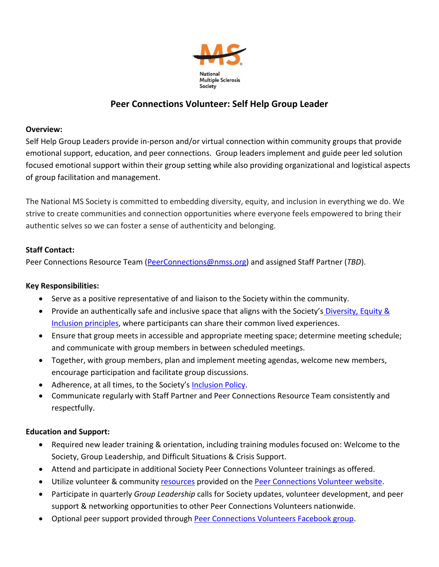

# **Peer Connections Volunteer: Self Help Group Leader**

# **Overview:**

Self Help Group Leaders provide in-person and/or virtual connection within community groups that provide emotional support, education, and peer connections. Group leaders implement and guide peer led solution focused emotional support within their group setting while also providing organizational and logistical aspects of group facilitation and management.

The National MS Society is committed to embedding diversity, equity, and inclusion in everything we do. We strive to create communities and connection opportunities where everyone feels empowered to bring their authentic selves so we can foster a sense of authenticity and belonging.

# **Staff Contact:**

Peer Connections Resource Team [\(PeerConnections@nmss.org\)](mailto:PeerConnections@nmss.org) and assigned Staff Partner (*TBD*).

#### **Key Responsibilities:**

- Serve as a positive representative of and liaison to the Society within the community.
- Provide an authentically safe and inclusive space that aligns with the Society's Diversity, Equity & [Inclusion principles,](https://www.nationalmssociety.org/About-the-Society/Diversity-Equity-and-Inclusion) where participants can share their common lived experiences.
- Ensure that group meets in accessible and appropriate meeting space; determine meeting schedule; and communicate with group members in between scheduled meetings.
- Together, with group members, plan and implement meeting agendas, welcome new members, encourage participation and facilitate group discussions.
- Adherence, at all times, to the Society's [Inclusion Policy.](https://www.nationalmssociety.org/About-the-Society/Diversity-Equity-and-Inclusion/Inclusion-Policy)
- Communicate regularly with Staff Partner and Peer Connections Resource Team consistently and respectfully.

# **Education and Support:**

- Required new leader training & orientation, including training modules focused on: Welcome to the Society, Group Leadership, and Difficult Situations & Crisis Support.
- Attend and participate in additional Society Peer Connections Volunteer trainings as offered.
- Utilize volunteer & community [resources](https://www.nationalmssociety.org/Resources-Support/Find-Support/For-Connection-Program-Volunteers/Resources-for-Peer-Connections-Volunteers) provided on the [Peer Connections Volunteer website.](http://www.nationalmssociety.org/connectionsvolunteers)
- Participate in quarterly *Group Leadership* calls for Society updates, volunteer development, and peer support & networking opportunities to other Peer Connections Volunteers nationwide.
- Optional peer support provided through [Peer Connections](https://www.facebook.com/groups/connectionsvolunteers/) Volunteers Facebook group.